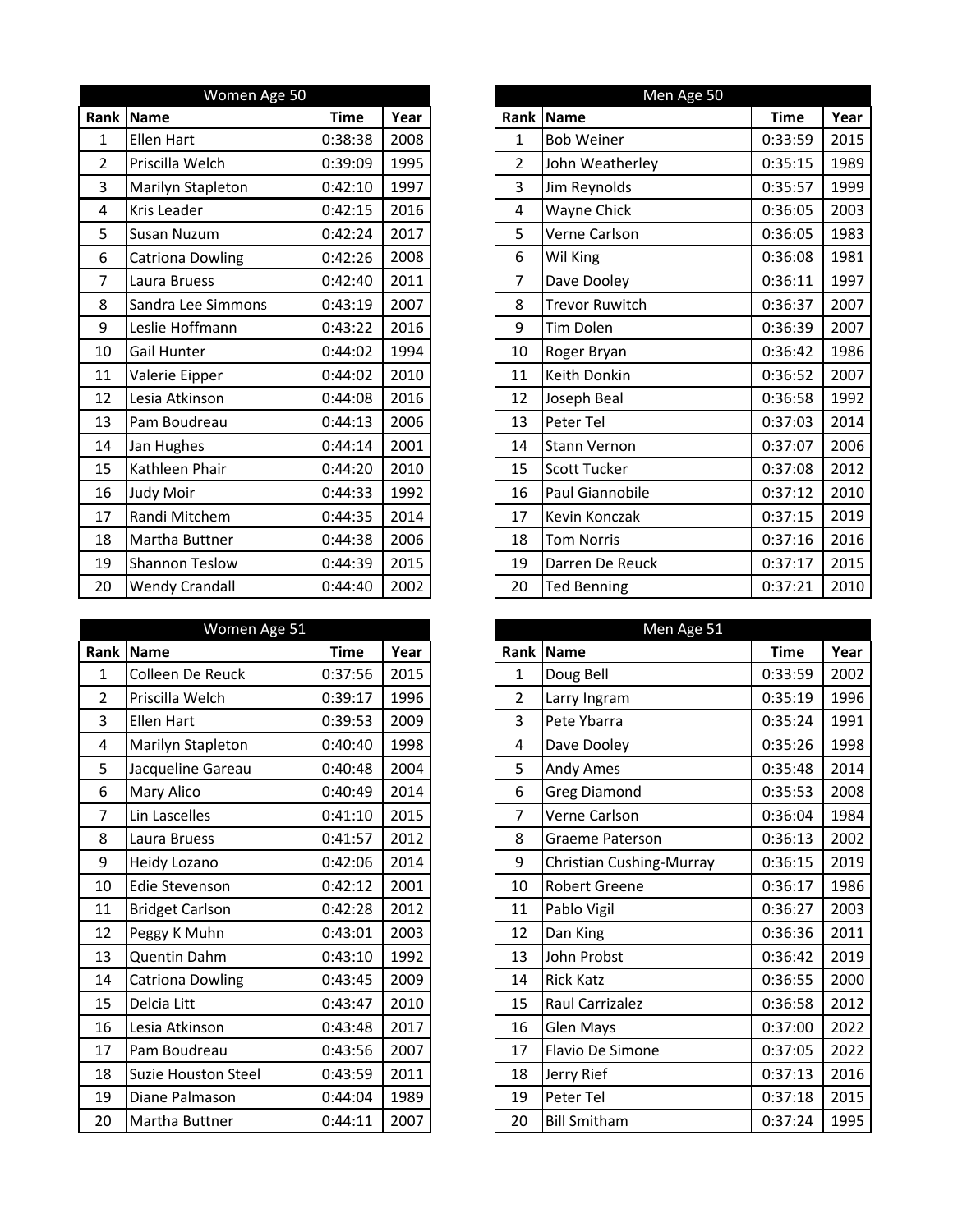|                | Women Age 50            |             |      |                | Men Age 50            |
|----------------|-------------------------|-------------|------|----------------|-----------------------|
| Rank           | Name                    | <b>Time</b> | Year |                | Rank Name             |
| $\mathbf 1$    | <b>Ellen Hart</b>       | 0:38:38     | 2008 | $\mathbf{1}$   | <b>Bob Weiner</b>     |
| $\overline{2}$ | Priscilla Welch         | 0:39:09     | 1995 | $\overline{2}$ | John Weatherley       |
| 3              | Marilyn Stapleton       | 0:42:10     | 1997 | 3              | Jim Reynolds          |
| 4              | Kris Leader             | 0:42:15     | 2016 | 4              | Wayne Chick           |
| 5              | <b>Susan Nuzum</b>      | 0:42:24     | 2017 | 5              | Verne Carlson         |
| 6              | <b>Catriona Dowling</b> | 0:42:26     | 2008 | 6              | Wil King              |
| 7              | Laura Bruess            | 0:42:40     | 2011 | $\overline{7}$ | Dave Dooley           |
| 8              | Sandra Lee Simmons      | 0:43:19     | 2007 | 8              | <b>Trevor Ruwitch</b> |
| 9              | Leslie Hoffmann         | 0:43:22     | 2016 | 9              | Tim Dolen             |
| 10             | <b>Gail Hunter</b>      | 0:44:02     | 1994 | 10             | Roger Bryan           |
| 11             | Valerie Eipper          | 0:44:02     | 2010 | 11             | Keith Donkin          |
| 12             | Lesia Atkinson          | 0:44:08     | 2016 | 12             | Joseph Beal           |
| 13             | Pam Boudreau            | 0:44:13     | 2006 | 13             | Peter Tel             |
| 14             | Jan Hughes              | 0:44:14     | 2001 | 14             | <b>Stann Vernon</b>   |
| 15             | Kathleen Phair          | 0:44:20     | 2010 | 15             | <b>Scott Tucker</b>   |
| 16             | Judy Moir               | 0:44:33     | 1992 | 16             | Paul Giannobile       |
| 17             | Randi Mitchem           | 0:44:35     | 2014 | 17             | Kevin Konczak         |
| 18             | Martha Buttner          | 0:44:38     | 2006 | 18             | <b>Tom Norris</b>     |
| 19             | <b>Shannon Teslow</b>   | 0:44:39     | 2015 | 19             | Darren De Reuck       |
| 20             | <b>Wendy Crandall</b>   | 0:44:40     | 2002 | 20             | <b>Ted Benning</b>    |

|                | Women Age 51               |             |      |                | Men Age 51               |
|----------------|----------------------------|-------------|------|----------------|--------------------------|
|                | Rank Name                  | <b>Time</b> | Year |                | Rank Name                |
| $\mathbf{1}$   | Colleen De Reuck           | 0:37:56     | 2015 | $\mathbf 1$    | Doug Bell                |
| $\overline{2}$ | Priscilla Welch            | 0:39:17     | 1996 | $\overline{2}$ | Larry Ingram             |
| 3              | <b>Ellen Hart</b>          | 0:39:53     | 2009 | 3              | Pete Ybarra              |
| 4              | Marilyn Stapleton          | 0:40:40     | 1998 | 4              | Dave Dooley              |
| 5              | Jacqueline Gareau          | 0:40:48     | 2004 | 5              | Andy Ames                |
| 6              | Mary Alico                 | 0:40:49     | 2014 | 6              | <b>Greg Diamond</b>      |
| $\overline{7}$ | Lin Lascelles              | 0:41:10     | 2015 | $\overline{7}$ | Verne Carlson            |
| 8              | Laura Bruess               | 0:41:57     | 2012 | 8              | <b>Graeme Paterson</b>   |
| 9              | Heidy Lozano               | 0:42:06     | 2014 | 9              | Christian Cushing-Murray |
| 10             | <b>Edie Stevenson</b>      | 0:42:12     | 2001 | 10             | <b>Robert Greene</b>     |
| 11             | <b>Bridget Carlson</b>     | 0:42:28     | 2012 | 11             | Pablo Vigil              |
| 12             | Peggy K Muhn               | 0:43:01     | 2003 | 12             | Dan King                 |
| 13             | Quentin Dahm               | 0:43:10     | 1992 | 13             | John Probst              |
| 14             | <b>Catriona Dowling</b>    | 0:43:45     | 2009 | 14             | <b>Rick Katz</b>         |
| 15             | Delcia Litt                | 0:43:47     | 2010 | 15             | Raul Carrizalez          |
| 16             | Lesia Atkinson             | 0:43:48     | 2017 | 16             | <b>Glen Mays</b>         |
| 17             | Pam Boudreau               | 0:43:56     | 2007 | 17             | Flavio De Simone         |
| 18             | <b>Suzie Houston Steel</b> | 0:43:59     | 2011 | 18             | Jerry Rief               |
| 19             | Diane Palmason             | 0:44:04     | 1989 | 19             | Peter Tel                |
| 20             | Martha Buttner             | 0:44:11     | 2007 | 20             | <b>Bill Smitham</b>      |

|                | Women Age 50             |             |      |
|----------------|--------------------------|-------------|------|
|                | Rank Name                | <b>Time</b> | Year |
| 1              | <b>Ellen Hart</b>        | 0:38:38     | 2008 |
| $\overline{2}$ | Priscilla Welch          | 0:39:09     | 1995 |
| 3              | <b>Marilyn Stapleton</b> | 0:42:10     | 1997 |
| $\overline{4}$ | <b>Kris Leader</b>       | 0:42:15     | 2016 |
| 5              | Susan Nuzum              | 0:42:24     | 2017 |
| 6              | <b>Catriona Dowling</b>  | 0:42:26     | 2008 |
| $\overline{7}$ | Laura Bruess             | 0:42:40     | 2011 |
| 8              | Sandra Lee Simmons       | 0:43:19     | 2007 |
| 9              | Leslie Hoffmann          | 0:43:22     | 2016 |
| 10             | Gail Hunter              | 0:44:02     | 1994 |
| 11             | Valerie Eipper           | 0:44:02     | 2010 |
| 12             | Lesia Atkinson           | 0:44:08     | 2016 |
| 13             | Pam Boudreau             | 0:44:13     | 2006 |
| 14             | Jan Hughes               | 0:44:14     | 2001 |
| 15             | Kathleen Phair           | 0:44:20     | 2010 |
| 16             | Judy Moir                | 0:44:33     | 1992 |
| 17             | Randi Mitchem            | 0:44:35     | 2014 |
| 18             | Martha Buttner           | 0:44:38     | 2006 |
| 19             | <b>Shannon Teslow</b>    | 0:44:39     | 2015 |
| 20             | <b>Wendy Crandall</b>    | 0:44:40     | 2002 |

| Women Age 51   |                          |             |      |  |
|----------------|--------------------------|-------------|------|--|
|                | Rank Name                | <b>Time</b> | Year |  |
| $\mathbf{1}$   | Colleen De Reuck         | 0:37:56     | 2015 |  |
| $\overline{2}$ | Priscilla Welch          | 0:39:17     | 1996 |  |
| 3              | Ellen Hart               | 0:39:53     | 2009 |  |
| 4              | <b>Marilyn Stapleton</b> | 0:40:40     | 1998 |  |
| 5              | Jacqueline Gareau        | 0:40:48     | 2004 |  |
| 6              | <b>Mary Alico</b>        | 0:40:49     | 2014 |  |
| $\overline{7}$ | Lin Lascelles            | 0:41:10     | 2015 |  |
| 8              | Laura Bruess             | 0:41:57     | 2012 |  |
| 9              | <b>Heidy Lozano</b>      | 0:42:06     | 2014 |  |
| 10             | <b>Edie Stevenson</b>    | 0:42:12     | 2001 |  |
| 11             | <b>Bridget Carlson</b>   | 0:42:28     | 2012 |  |
| 12             | Peggy K Muhn             | 0:43:01     | 2003 |  |
| 13             | Quentin Dahm             | 0:43:10     | 1992 |  |
| 14             | <b>Catriona Dowling</b>  | 0:43:45     | 2009 |  |
| 15             | Delcia Litt              | 0:43:47     | 2010 |  |
| 16             | Lesia Atkinson           | 0:43:48     | 2017 |  |
| 17             | Pam Boudreau             | 0:43:56     | 2007 |  |
| 18             | Suzie Houston Steel      | 0:43:59     | 2011 |  |
| 19             | Diane Palmason           | 0:44:04     | 1989 |  |
| 20             | Martha Buttner           | 0:44:11     | 2007 |  |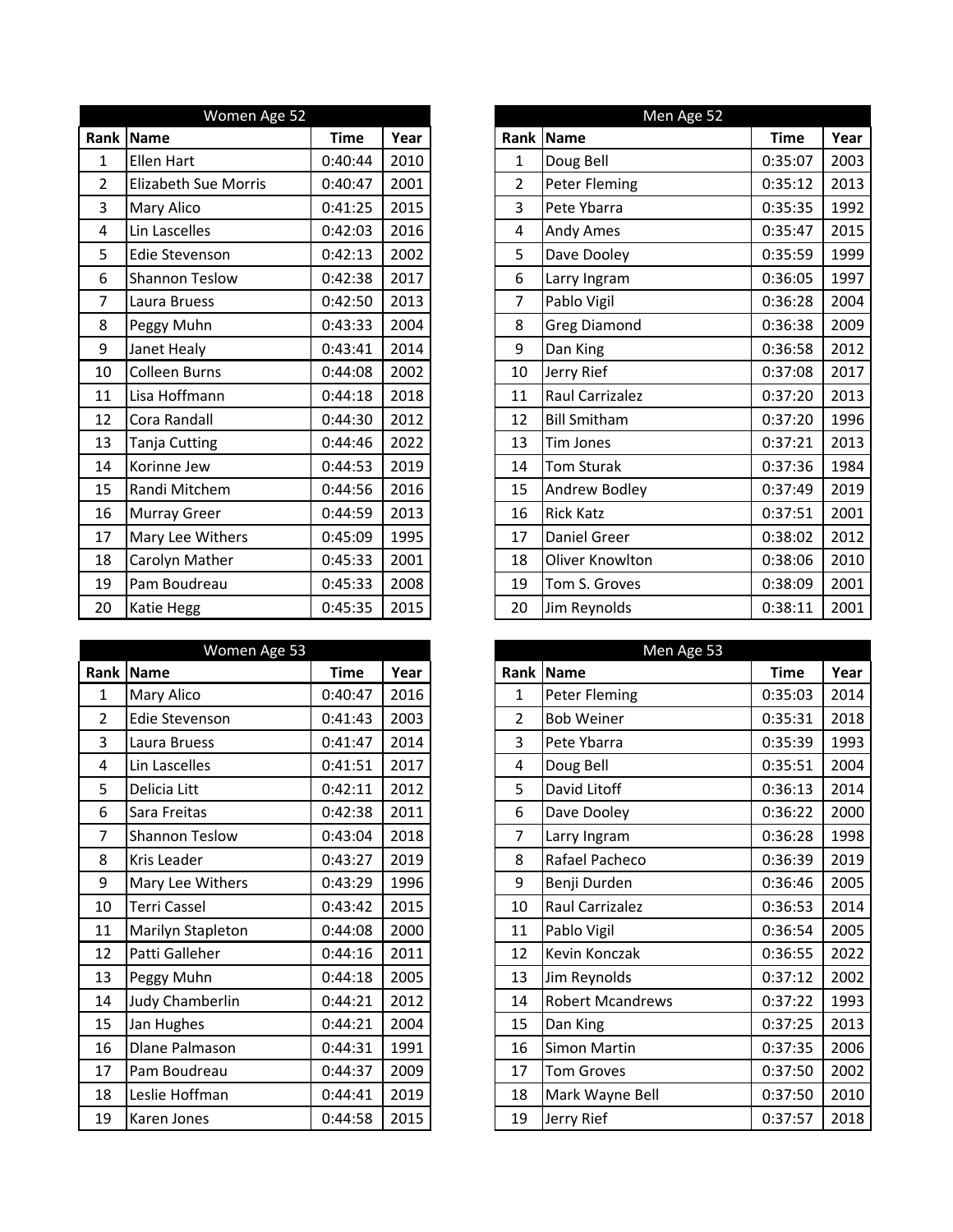|                | Women Age 52                |             |      |                | Men Age 52           |
|----------------|-----------------------------|-------------|------|----------------|----------------------|
| Rank           | Name                        | <b>Time</b> | Year |                | Rank Name            |
| 1              | <b>Ellen Hart</b>           | 0:40:44     | 2010 | 1              | Doug Bell            |
| $\overline{2}$ | <b>Elizabeth Sue Morris</b> | 0:40:47     | 2001 | $\overline{2}$ | <b>Peter Fleming</b> |
| 3              | Mary Alico                  | 0:41:25     | 2015 | 3              | Pete Ybarra          |
| 4              | Lin Lascelles               | 0:42:03     | 2016 | 4              | Andy Ames            |
| 5              | <b>Edie Stevenson</b>       | 0:42:13     | 2002 | 5              | Dave Dooley          |
| 6              | <b>Shannon Teslow</b>       | 0:42:38     | 2017 | 6              | Larry Ingram         |
| $\overline{7}$ | Laura Bruess                | 0:42:50     | 2013 | $\overline{7}$ | Pablo Vigil          |
| 8              | Peggy Muhn                  | 0:43:33     | 2004 | 8              | <b>Greg Diamond</b>  |
| 9              | Janet Healy                 | 0:43:41     | 2014 | 9              | Dan King             |
| 10             | <b>Colleen Burns</b>        | 0:44:08     | 2002 | 10             | Jerry Rief           |
| 11             | Lisa Hoffmann               | 0:44:18     | 2018 | 11             | Raul Carrizalez      |
| 12             | Cora Randall                | 0:44:30     | 2012 | 12             | <b>Bill Smitham</b>  |
| 13             | Tanja Cutting               | 0:44:46     | 2022 | 13             | <b>Tim Jones</b>     |
| 14             | Korinne Jew                 | 0:44:53     | 2019 | 14             | <b>Tom Sturak</b>    |
| 15             | Randi Mitchem               | 0:44:56     | 2016 | 15             | Andrew Bodley        |
| 16             | <b>Murray Greer</b>         | 0:44:59     | 2013 | 16             | <b>Rick Katz</b>     |
| 17             | Mary Lee Withers            | 0:45:09     | 1995 | 17             | Daniel Greer         |
| 18             | Carolyn Mather              | 0:45:33     | 2001 | 18             | Oliver Knowlton      |
| 19             | Pam Boudreau                | 0:45:33     | 2008 | 19             | Tom S. Groves        |
| 20             | Katie Hegg                  | 0:45:35     | 2015 | 20             | Jim Reynolds         |

|                | Women Age 53          |             |      |                | Men Age 53              |
|----------------|-----------------------|-------------|------|----------------|-------------------------|
| Rank           | Name                  | <b>Time</b> | Year |                | Rank Name               |
| $\mathbf{1}$   | Mary Alico            | 0:40:47     | 2016 | $\mathbf{1}$   | <b>Peter Fleming</b>    |
| $\overline{2}$ | <b>Edie Stevenson</b> | 0:41:43     | 2003 | $\overline{2}$ | <b>Bob Weiner</b>       |
| 3              | Laura Bruess          | 0:41:47     | 2014 | 3              | Pete Ybarra             |
| 4              | Lin Lascelles         | 0:41:51     | 2017 | 4              | Doug Bell               |
| 5              | Delicia Litt          | 0:42:11     | 2012 | 5              | David Litoff            |
| 6              | Sara Freitas          | 0:42:38     | 2011 | 6              | Dave Dooley             |
| 7              | <b>Shannon Teslow</b> | 0:43:04     | 2018 | 7              | Larry Ingram            |
| 8              | <b>Kris Leader</b>    | 0:43:27     | 2019 | 8              | Rafael Pacheco          |
| 9              | Mary Lee Withers      | 0:43:29     | 1996 | 9              | Benji Durden            |
| 10             | <b>Terri Cassel</b>   | 0:43:42     | 2015 | 10             | Raul Carrizalez         |
| 11             | Marilyn Stapleton     | 0:44:08     | 2000 | 11             | Pablo Vigil             |
| 12             | Patti Galleher        | 0:44:16     | 2011 | 12             | Kevin Konczak           |
| 13             | Peggy Muhn            | 0:44:18     | 2005 | 13             | Jim Reynolds            |
| 14             | Judy Chamberlin       | 0:44:21     | 2012 | 14             | <b>Robert Mcandrews</b> |
| 15             | Jan Hughes            | 0:44:21     | 2004 | 15             | Dan King                |
| 16             | <b>Dlane Palmason</b> | 0:44:31     | 1991 | 16             | Simon Martin            |
| 17             | Pam Boudreau          | 0:44:37     | 2009 | 17             | <b>Tom Groves</b>       |
| 18             | Leslie Hoffman        | 0:44:41     | 2019 | 18             | Mark Wayne Bell         |
| 19             | Karen Jones           | 0:44:58     | 2015 | 19             | Jerry Rief              |

|                | Women Age 52                |             |      |
|----------------|-----------------------------|-------------|------|
|                | Rank Name                   | <b>Time</b> | Year |
| $\mathbf{1}$   | Ellen Hart                  | 0:40:44     | 2010 |
| $\overline{2}$ | <b>Elizabeth Sue Morris</b> | 0:40:47     | 2001 |
| $\overline{3}$ | <b>Mary Alico</b>           | 0:41:25     | 2015 |
| 4              | Lin Lascelles               | 0:42:03     | 2016 |
| 5              | Edie Stevenson              | 0:42:13     | 2002 |
| 6              | <b>Shannon Teslow</b>       | 0:42:38     | 2017 |
| $\overline{7}$ | Laura Bruess                | 0:42:50     | 2013 |
| 8              | Peggy Muhn                  | 0:43:33     | 2004 |
| 9              | Janet Healy                 | 0:43:41     | 2014 |
| 10             | <b>Colleen Burns</b>        | 0:44:08     | 2002 |
| 11             | Lisa Hoffmann               | 0:44:18     | 2018 |
| 12             | Cora Randall                | 0:44:30     | 2012 |
| 13             | <b>Tanja Cutting</b>        | 0:44:46     | 2022 |
| 14             | Korinne Jew                 | 0:44:53     | 2019 |
| 15             | Randi Mitchem               | 0:44:56     | 2016 |
| 16             | Murray Greer                | 0:44:59     | 2013 |
| 17             | Mary Lee Withers            | 0:45:09     | 1995 |
| 18             | Carolyn Mather              | 0:45:33     | 2001 |
| 19             | Pam Boudreau                | 0:45:33     | 2008 |
| 20             | Katie Hegg                  | 0:45:35     | 2015 |

|                | Women Age 53           |             |      |
|----------------|------------------------|-------------|------|
|                | Rank Name              | <b>Time</b> | Year |
| 1              | <b>Mary Alico</b>      | 0:40:47     | 2016 |
| $\overline{2}$ | Edie Stevenson         | 0:41:43     | 2003 |
| 3              | Laura Bruess           | 0:41:47     | 2014 |
| 4              | Lin Lascelles          | 0:41:51     | 2017 |
| 5              | Delicia Litt           | 0:42:11     | 2012 |
| 6              | Sara Freitas           | 0:42:38     | 2011 |
| 7              | <b>Shannon Teslow</b>  | 0:43:04     | 2018 |
| 8              | <b>Kris Leader</b>     | 0:43:27     | 2019 |
| 9              | Mary Lee Withers       | 0:43:29     | 1996 |
| 10             | <b>Terri Cassel</b>    | 0:43:42     | 2015 |
| 11             | Marilyn Stapleton      | 0:44:08     | 2000 |
| 12             | Patti Galleher         | 0:44:16     | 2011 |
| 13             | Peggy Muhn             | 0:44:18     | 2005 |
| 14             | <b>Judy Chamberlin</b> | 0:44:21     | 2012 |
| 15             | Jan Hughes             | 0:44:21     | 2004 |
| 16             | <b>Dlane Palmason</b>  | 0:44:31     | 1991 |
| 17             | Pam Boudreau           | 0:44:37     | 2009 |
| 18             | Leslie Hoffman         | 0:44:41     | 2019 |
| 19             | Karen Jones            | 0:44:58     | 2015 |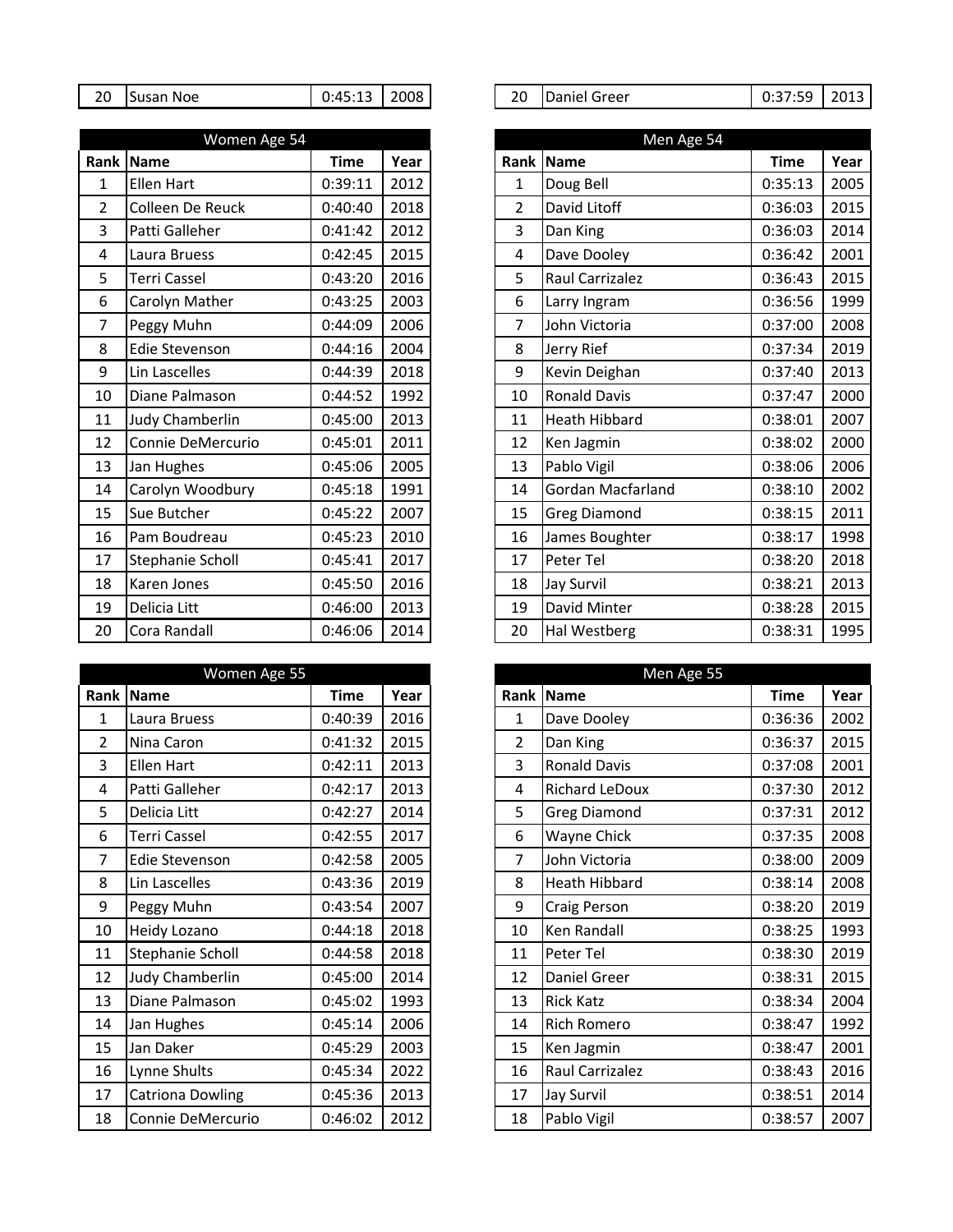| Susan Noe<br>20 | $0:45:13$   2008 |  |
|-----------------|------------------|--|
|-----------------|------------------|--|

|                | Women Age 54          |             | Men Age 54 |                |                      |
|----------------|-----------------------|-------------|------------|----------------|----------------------|
|                | Rank Name             | <b>Time</b> | Year       |                | <b>Rank Name</b>     |
| $\mathbf 1$    | Ellen Hart            | 0:39:11     | 2012       | 1              | Doug Bell            |
| $\overline{2}$ | Colleen De Reuck      | 0:40:40     | 2018       | $\overline{2}$ | David Litoff         |
| 3              | Patti Galleher        | 0:41:42     | 2012       | 3              | Dan King             |
| 4              | Laura Bruess          | 0:42:45     | 2015       | $\overline{4}$ | Dave Dooley          |
| 5              | <b>Terri Cassel</b>   | 0:43:20     | 2016       | 5              | Raul Carrizalez      |
| 6              | Carolyn Mather        | 0:43:25     | 2003       | 6              | Larry Ingram         |
| 7              | Peggy Muhn            | 0:44:09     | 2006       | 7              | John Victoria        |
| 8              | <b>Edie Stevenson</b> | 0:44:16     | 2004       | 8              | Jerry Rief           |
| 9              | Lin Lascelles         | 0:44:39     | 2018       | 9              | Kevin Deighan        |
| 10             | Diane Palmason        | 0:44:52     | 1992       | 10             | <b>Ronald Davis</b>  |
| 11             | Judy Chamberlin       | 0:45:00     | 2013       | 11             | <b>Heath Hibbard</b> |
| 12             | Connie DeMercurio     | 0:45:01     | 2011       | 12             | Ken Jagmin           |
| 13             | Jan Hughes            | 0:45:06     | 2005       | 13             | Pablo Vigil          |
| 14             | Carolyn Woodbury      | 0:45:18     | 1991       | 14             | Gordan Macfarland    |
| 15             | Sue Butcher           | 0:45:22     | 2007       | 15             | <b>Greg Diamond</b>  |
| 16             | Pam Boudreau          | 0:45:23     | 2010       | 16             | James Boughter       |
| 17             | Stephanie Scholl      | 0:45:41     | 2017       | 17             | Peter Tel            |
| 18             | Karen Jones           | 0:45:50     | 2016       | 18             | <b>Jay Survil</b>    |
| 19             | Delicia Litt          | 0:46:00     | 2013       | 19             | David Minter         |
| 20             | Cora Randall          | 0:46:06     | 2014       | 20             | Hal Westberg         |

| Women Age 55   |                         |             |      |  |                | Men Age 55            |
|----------------|-------------------------|-------------|------|--|----------------|-----------------------|
|                | Rank Name               | <b>Time</b> | Year |  |                | Rank Name             |
| $\mathbf 1$    | Laura Bruess            | 0:40:39     | 2016 |  | $\mathbf 1$    | Dave Dooley           |
| $\overline{2}$ | Nina Caron              | 0:41:32     | 2015 |  | $\overline{2}$ | Dan King              |
| 3              | <b>Ellen Hart</b>       | 0:42:11     | 2013 |  | 3              | <b>Ronald Davis</b>   |
| 4              | Patti Galleher          | 0:42:17     | 2013 |  | 4              | <b>Richard LeDoux</b> |
| 5              | Delicia Litt            | 0:42:27     | 2014 |  | 5              | <b>Greg Diamond</b>   |
| 6              | <b>Terri Cassel</b>     | 0:42:55     | 2017 |  | 6              | Wayne Chick           |
| 7              | Edie Stevenson          | 0:42:58     | 2005 |  | 7              | John Victoria         |
| 8              | Lin Lascelles           | 0:43:36     | 2019 |  | 8              | Heath Hibbard         |
| 9              | Peggy Muhn              | 0:43:54     | 2007 |  | 9              | Craig Person          |
| 10             | Heidy Lozano            | 0:44:18     | 2018 |  | 10             | Ken Randall           |
| 11             | Stephanie Scholl        | 0:44:58     | 2018 |  | 11             | Peter Tel             |
| 12             | Judy Chamberlin         | 0:45:00     | 2014 |  | 12             | Daniel Greer          |
| 13             | Diane Palmason          | 0:45:02     | 1993 |  | 13             | <b>Rick Katz</b>      |
| 14             | Jan Hughes              | 0:45:14     | 2006 |  | 14             | <b>Rich Romero</b>    |
| 15             | Jan Daker               | 0:45:29     | 2003 |  | 15             | Ken Jagmin            |
| 16             | Lynne Shults            | 0:45:34     | 2022 |  | 16             | Raul Carrizalez       |
| 17             | <b>Catriona Dowling</b> | 0:45:36     | 2013 |  | 17             | Jay Survil            |
| 18             | Connie DeMercurio       | 0:46:02     | 2012 |  | 18             | Pablo Vigil           |

| 20 | Susan Noe | $0:45:13$   2008 |  |  | 20 | Daniel Greer | 0:37:59 | 2013 |
|----|-----------|------------------|--|--|----|--------------|---------|------|
|----|-----------|------------------|--|--|----|--------------|---------|------|

|                | Women Age 54        |             |      |  |                | Men Age 54           |             |
|----------------|---------------------|-------------|------|--|----------------|----------------------|-------------|
|                | Rank Name           | <b>Time</b> | Year |  |                | Rank Name            | <b>Time</b> |
| 1              | <b>Ellen Hart</b>   | 0:39:11     | 2012 |  | 1              | Doug Bell            | 0:35:13     |
| $\overline{2}$ | Colleen De Reuck    | 0:40:40     | 2018 |  | $\overline{2}$ | David Litoff         | 0:36:03     |
| 3              | Patti Galleher      | 0:41:42     | 2012 |  | 3              | Dan King             | 0:36:03     |
| $\overline{4}$ | Laura Bruess        | 0:42:45     | 2015 |  | 4              | Dave Dooley          | 0:36:42     |
| 5              | <b>Terri Cassel</b> | 0:43:20     | 2016 |  | 5              | Raul Carrizalez      | 0:36:43     |
| 6              | Carolyn Mather      | 0:43:25     | 2003 |  | 6              | Larry Ingram         | 0:36:56     |
| $\overline{7}$ | Peggy Muhn          | 0:44:09     | 2006 |  | 7              | John Victoria        | 0:37:00     |
| 8              | Edie Stevenson      | 0:44:16     | 2004 |  | 8              | Jerry Rief           | 0:37:34     |
| 9              | Lin Lascelles       | 0:44:39     | 2018 |  | 9              | Kevin Deighan        | 0:37:40     |
| 10             | Diane Palmason      | 0:44:52     | 1992 |  | 10             | <b>Ronald Davis</b>  | 0:37:47     |
| 11             | Judy Chamberlin     | 0:45:00     | 2013 |  | 11             | <b>Heath Hibbard</b> | 0:38:01     |
| 12             | Connie DeMercurio   | 0:45:01     | 2011 |  | 12             | Ken Jagmin           | 0:38:02     |
| 13             | Jan Hughes          | 0:45:06     | 2005 |  | 13             | Pablo Vigil          | 0:38:06     |
| 14             | Carolyn Woodbury    | 0:45:18     | 1991 |  | 14             | Gordan Macfarland    | 0:38:10     |
| 15             | Sue Butcher         | 0:45:22     | 2007 |  | 15             | <b>Greg Diamond</b>  | 0:38:15     |
| 16             | Pam Boudreau        | 0:45:23     | 2010 |  | 16             | James Boughter       | 0:38:17     |
| 17             | Stephanie Scholl    | 0:45:41     | 2017 |  | 17             | Peter Tel            | 0:38:20     |
| 18             | Karen Jones         | 0:45:50     | 2016 |  | 18             | <b>Jay Survil</b>    | 0:38:21     |
| 19             | Delicia Litt        | 0:46:00     | 2013 |  | 19             | David Minter         | 0:38:28     |
| 20             | Cora Randall        | 0:46:06     | 2014 |  | 20             | Hal Westberg         | 0:38:31     |

|                | Women Age 55            |             |      | Men Age 55     |                       |             |      |  |  |
|----------------|-------------------------|-------------|------|----------------|-----------------------|-------------|------|--|--|
|                | Rank Name               | <b>Time</b> | Year |                | Rank Name             | <b>Time</b> | Year |  |  |
| 1              | Laura Bruess            | 0:40:39     | 2016 | 1              | Dave Dooley           | 0:36:36     | 2002 |  |  |
| $\overline{2}$ | Nina Caron              | 0:41:32     | 2015 | $\overline{2}$ | Dan King              | 0:36:37     | 2015 |  |  |
| 3              | Ellen Hart              | 0:42:11     | 2013 | 3              | <b>Ronald Davis</b>   | 0:37:08     | 2001 |  |  |
| 4              | Patti Galleher          | 0:42:17     | 2013 | 4              | <b>Richard LeDoux</b> | 0:37:30     | 2012 |  |  |
| 5              | Delicia Litt            | 0:42:27     | 2014 | 5              | <b>Greg Diamond</b>   | 0:37:31     | 2012 |  |  |
| 6              | <b>Terri Cassel</b>     | 0:42:55     | 2017 | 6              | Wayne Chick           | 0:37:35     | 2008 |  |  |
| $\overline{7}$ | Edie Stevenson          | 0:42:58     | 2005 | 7              | John Victoria         | 0:38:00     | 2009 |  |  |
| 8              | Lin Lascelles           | 0:43:36     | 2019 | 8              | <b>Heath Hibbard</b>  | 0:38:14     | 2008 |  |  |
| 9              | Peggy Muhn              | 0:43:54     | 2007 | 9              | Craig Person          | 0:38:20     | 2019 |  |  |
| 10             | <b>Heidy Lozano</b>     | 0:44:18     | 2018 | 10             | Ken Randall           | 0:38:25     | 1993 |  |  |
| 11             | Stephanie Scholl        | 0:44:58     | 2018 | 11             | Peter Tel             | 0:38:30     | 2019 |  |  |
| 12             | Judy Chamberlin         | 0:45:00     | 2014 | 12             | Daniel Greer          | 0:38:31     | 2015 |  |  |
| 13             | Diane Palmason          | 0:45:02     | 1993 | 13             | <b>Rick Katz</b>      | 0:38:34     | 2004 |  |  |
| 14             | Jan Hughes              | 0:45:14     | 2006 | 14             | <b>Rich Romero</b>    | 0:38:47     | 1992 |  |  |
| 15             | Jan Daker               | 0:45:29     | 2003 | 15             | Ken Jagmin            | 0:38:47     | 2001 |  |  |
| 16             | Lynne Shults            | 0:45:34     | 2022 | 16             | Raul Carrizalez       | 0:38:43     | 2016 |  |  |
| 17             | <b>Catriona Dowling</b> | 0:45:36     | 2013 | 17             | Jay Survil            | 0:38:51     | 2014 |  |  |
| 18             | Connie DeMercurio       | 0:46:02     | 2012 | 18             | Pablo Vigil           | 0:38:57     | 2007 |  |  |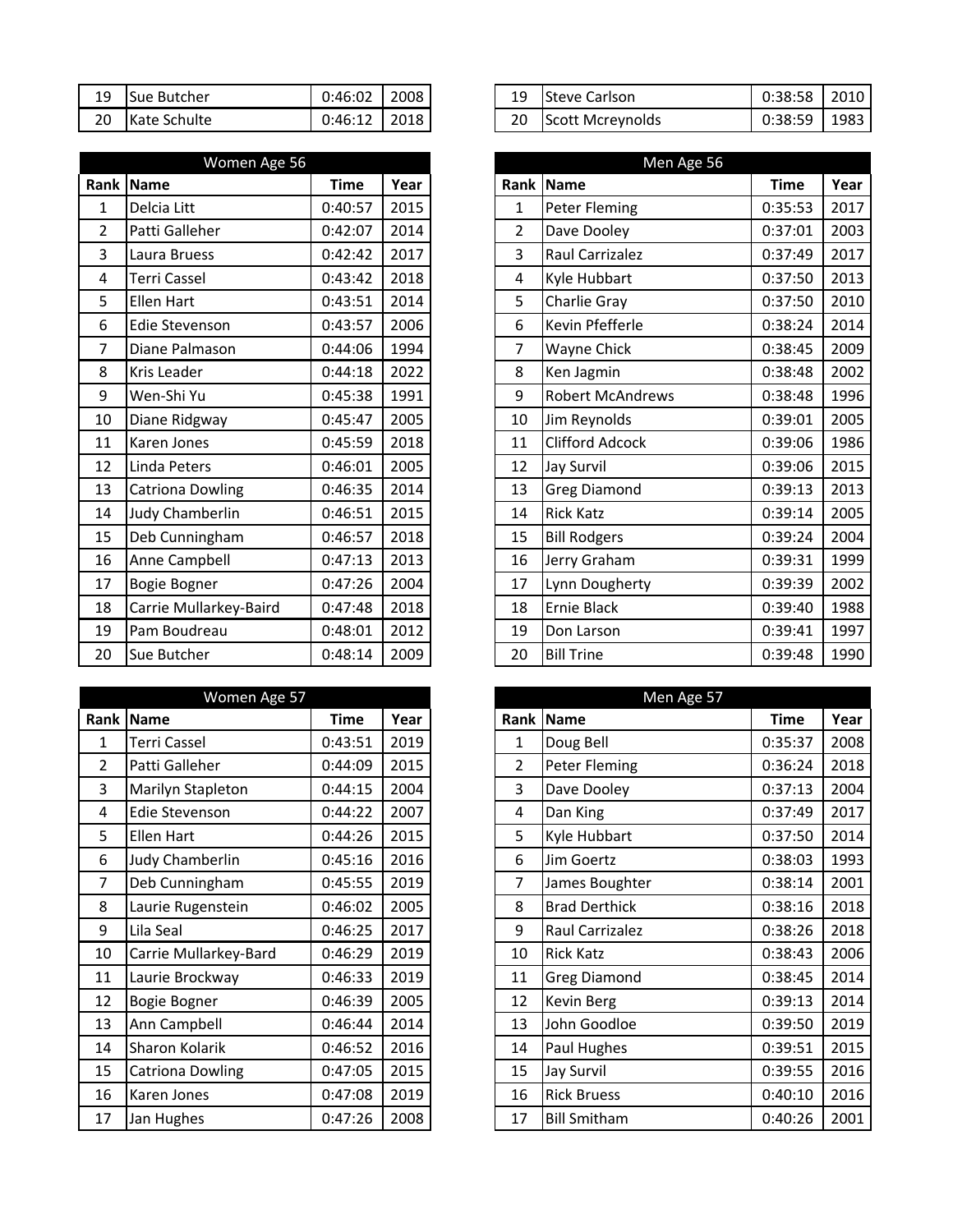| 19 | ↑ Sue Butcher | $0:46:02$   2008 |  |
|----|---------------|------------------|--|
| 20 | Kate Schulte  | $0:46:12$   2018 |  |

|                | Women Age 56            |             |      | Men Age 56     |                         |
|----------------|-------------------------|-------------|------|----------------|-------------------------|
| <b>Rank</b>    | <b>Name</b>             | <b>Time</b> | Year | Rank           | Name                    |
| 1              | Delcia Litt             | 0:40:57     | 2015 | 1              | <b>Peter Fleming</b>    |
| $\overline{2}$ | Patti Galleher          | 0:42:07     | 2014 | $\overline{2}$ | Dave Dooley             |
| 3              | Laura Bruess            | 0:42:42     | 2017 | 3              | Raul Carrizalez         |
| 4              | <b>Terri Cassel</b>     | 0:43:42     | 2018 | 4              | Kyle Hubbart            |
| 5              | Ellen Hart              | 0:43:51     | 2014 | 5              | Charlie Gray            |
| 6              | <b>Edie Stevenson</b>   | 0:43:57     | 2006 | 6              | Kevin Pfefferle         |
| 7              | Diane Palmason          | 0:44:06     | 1994 | $\overline{7}$ | Wayne Chick             |
| 8              | Kris Leader             | 0:44:18     | 2022 | 8              | Ken Jagmin              |
| 9              | Wen-Shi Yu              | 0:45:38     | 1991 | 9              | <b>Robert McAndrews</b> |
| 10             | Diane Ridgway           | 0:45:47     | 2005 | 10             | Jim Reynolds            |
| 11             | Karen Jones             | 0:45:59     | 2018 | 11             | <b>Clifford Adcock</b>  |
| 12             | Linda Peters            | 0:46:01     | 2005 | 12             | <b>Jay Survil</b>       |
| 13             | <b>Catriona Dowling</b> | 0:46:35     | 2014 | 13             | <b>Greg Diamond</b>     |
| 14             | Judy Chamberlin         | 0:46:51     | 2015 | 14             | <b>Rick Katz</b>        |
| 15             | Deb Cunningham          | 0:46:57     | 2018 | 15             | <b>Bill Rodgers</b>     |
| 16             | Anne Campbell           | 0:47:13     | 2013 | 16             | Jerry Graham            |
| 17             | <b>Bogie Bogner</b>     | 0:47:26     | 2004 | 17             | Lynn Dougherty          |
| 18             | Carrie Mullarkey-Baird  | 0:47:48     | 2018 | 18             | Ernie Black             |
| 19             | Pam Boudreau            | 0:48:01     | 2012 | 19             | Don Larson              |
| 20             | Sue Butcher             | 0:48:14     | 2009 | 20             | <b>Bill Trine</b>       |

|                | Women Age 57            |             |      |                | Men Age 57           |
|----------------|-------------------------|-------------|------|----------------|----------------------|
|                | Rank   Name             | <b>Time</b> | Year |                | Rank Name            |
| $\mathbf 1$    | <b>Terri Cassel</b>     | 0:43:51     | 2019 | 1              | Doug Bell            |
| $\overline{2}$ | Patti Galleher          | 0:44:09     | 2015 | $\overline{2}$ | <b>Peter Fleming</b> |
| 3              | Marilyn Stapleton       | 0:44:15     | 2004 | 3              | Dave Dooley          |
| 4              | Edie Stevenson          | 0:44:22     | 2007 | 4              | Dan King             |
| 5              | <b>Ellen Hart</b>       | 0:44:26     | 2015 | 5              | Kyle Hubbart         |
| 6              | Judy Chamberlin         | 0:45:16     | 2016 | 6              | Jim Goertz           |
| 7              | Deb Cunningham          | 0:45:55     | 2019 | 7              | James Boughter       |
| 8              | Laurie Rugenstein       | 0:46:02     | 2005 | 8              | <b>Brad Derthick</b> |
| 9              | Lila Seal               | 0:46:25     | 2017 | 9              | Raul Carrizalez      |
| 10             | Carrie Mullarkey-Bard   | 0:46:29     | 2019 | 10             | <b>Rick Katz</b>     |
| 11             | Laurie Brockway         | 0:46:33     | 2019 | 11             | <b>Greg Diamond</b>  |
| 12             | Bogie Bogner            | 0:46:39     | 2005 | 12             | <b>Kevin Berg</b>    |
| 13             | Ann Campbell            | 0:46:44     | 2014 | 13             | John Goodloe         |
| 14             | Sharon Kolarik          | 0:46:52     | 2016 | 14             | Paul Hughes          |
| 15             | <b>Catriona Dowling</b> | 0:47:05     | 2015 | 15             | <b>Jay Survil</b>    |
| 16             | Karen Jones             | 0:47:08     | 2019 | 16             | <b>Rick Bruess</b>   |
| 17             | Jan Hughes              | 0:47:26     | 2008 | 17             | <b>Bill Smitham</b>  |

| 19 | Sue Butcher  | 0:46:02 | 2008 | 19 | Steve Carlson    | 0:38:58 | 2010 |
|----|--------------|---------|------|----|------------------|---------|------|
| 20 | Kate Schulte | 0:46:12 | 2018 | 20 | Scott Mcreynolds | 0:38:59 | 1983 |

|                | Women Age 56            |             |      |
|----------------|-------------------------|-------------|------|
|                | Rank Name               | <b>Time</b> | Year |
| $\mathbf{1}$   | Delcia Litt             | 0:40:57     | 2015 |
| $\overline{2}$ | Patti Galleher          | 0:42:07     | 2014 |
| 3              | Laura Bruess            | 0:42:42     | 2017 |
| $\overline{4}$ | <b>Terri Cassel</b>     | 0:43:42     | 2018 |
| 5              | Ellen Hart              | 0:43:51     | 2014 |
| 6              | Edie Stevenson          | 0:43:57     | 2006 |
| 7              | Diane Palmason          | 0:44:06     | 1994 |
| 8              | <b>Kris Leader</b>      | 0:44:18     | 2022 |
| 9              | Wen-Shi Yu              | 0:45:38     | 1991 |
| 10             | Diane Ridgway           | 0:45:47     | 2005 |
| 11             | Karen Jones             | 0:45:59     | 2018 |
| 12             | Linda Peters            | 0:46:01     | 2005 |
| 13             | <b>Catriona Dowling</b> | 0:46:35     | 2014 |
| 14             | Judy Chamberlin         | 0:46:51     | 2015 |
| 15             | Deb Cunningham          | 0:46:57     | 2018 |
| 16             | Anne Campbell           | 0:47:13     | 2013 |
| 17             | Bogie Bogner            | 0:47:26     | 2004 |
| 18             | Carrie Mullarkey-Baird  | 0:47:48     | 2018 |
| 19             | Pam Boudreau            | 0:48:01     | 2012 |
| 20             | Sue Butcher             | 0:48:14     | 2009 |

|                | Women Age 57            |             |      |                | Men Age 57           |             |      |
|----------------|-------------------------|-------------|------|----------------|----------------------|-------------|------|
|                | Rank   Name             | <b>Time</b> | Year |                | Rank Name            | <b>Time</b> | Year |
| 1              | <b>Terri Cassel</b>     | 0:43:51     | 2019 | 1              | Doug Bell            | 0:35:37     | 2008 |
| $\overline{2}$ | Patti Galleher          | 0:44:09     | 2015 | $\overline{2}$ | <b>Peter Fleming</b> | 0:36:24     | 2018 |
| 3              | Marilyn Stapleton       | 0:44:15     | 2004 | 3              | Dave Dooley          | 0:37:13     | 2004 |
| 4              | <b>Edie Stevenson</b>   | 0:44:22     | 2007 | 4              | Dan King             | 0:37:49     | 2017 |
| 5              | Ellen Hart              | 0:44:26     | 2015 | 5              | Kyle Hubbart         | 0:37:50     | 2014 |
| 6              | Judy Chamberlin         | 0:45:16     | 2016 | 6              | Jim Goertz           | 0:38:03     | 1993 |
| 7              | Deb Cunningham          | 0:45:55     | 2019 | 7              | James Boughter       | 0:38:14     | 2001 |
| 8              | Laurie Rugenstein       | 0:46:02     | 2005 | 8              | <b>Brad Derthick</b> | 0:38:16     | 2018 |
| 9              | Lila Seal               | 0:46:25     | 2017 | 9              | Raul Carrizalez      | 0:38:26     | 2018 |
| 10             | Carrie Mullarkey-Bard   | 0:46:29     | 2019 | 10             | <b>Rick Katz</b>     | 0:38:43     | 2006 |
| 11             | Laurie Brockway         | 0:46:33     | 2019 | 11             | <b>Greg Diamond</b>  | 0:38:45     | 2014 |
| 12             | Bogie Bogner            | 0:46:39     | 2005 | 12             | <b>Kevin Berg</b>    | 0:39:13     | 2014 |
| 13             | Ann Campbell            | 0:46:44     | 2014 | 13             | John Goodloe         | 0:39:50     | 2019 |
| 14             | Sharon Kolarik          | 0:46:52     | 2016 | 14             | Paul Hughes          | 0:39:51     | 2015 |
| 15             | <b>Catriona Dowling</b> | 0:47:05     | 2015 | 15             | Jay Survil           | 0:39:55     | 2016 |
| 16             | Karen Jones             | 0:47:08     | 2019 | 16             | <b>Rick Bruess</b>   | 0:40:10     | 2016 |
| 17             | Jan Hughes              | 0:47:26     | 2008 | 17             | <b>Bill Smitham</b>  | 0:40:26     | 2001 |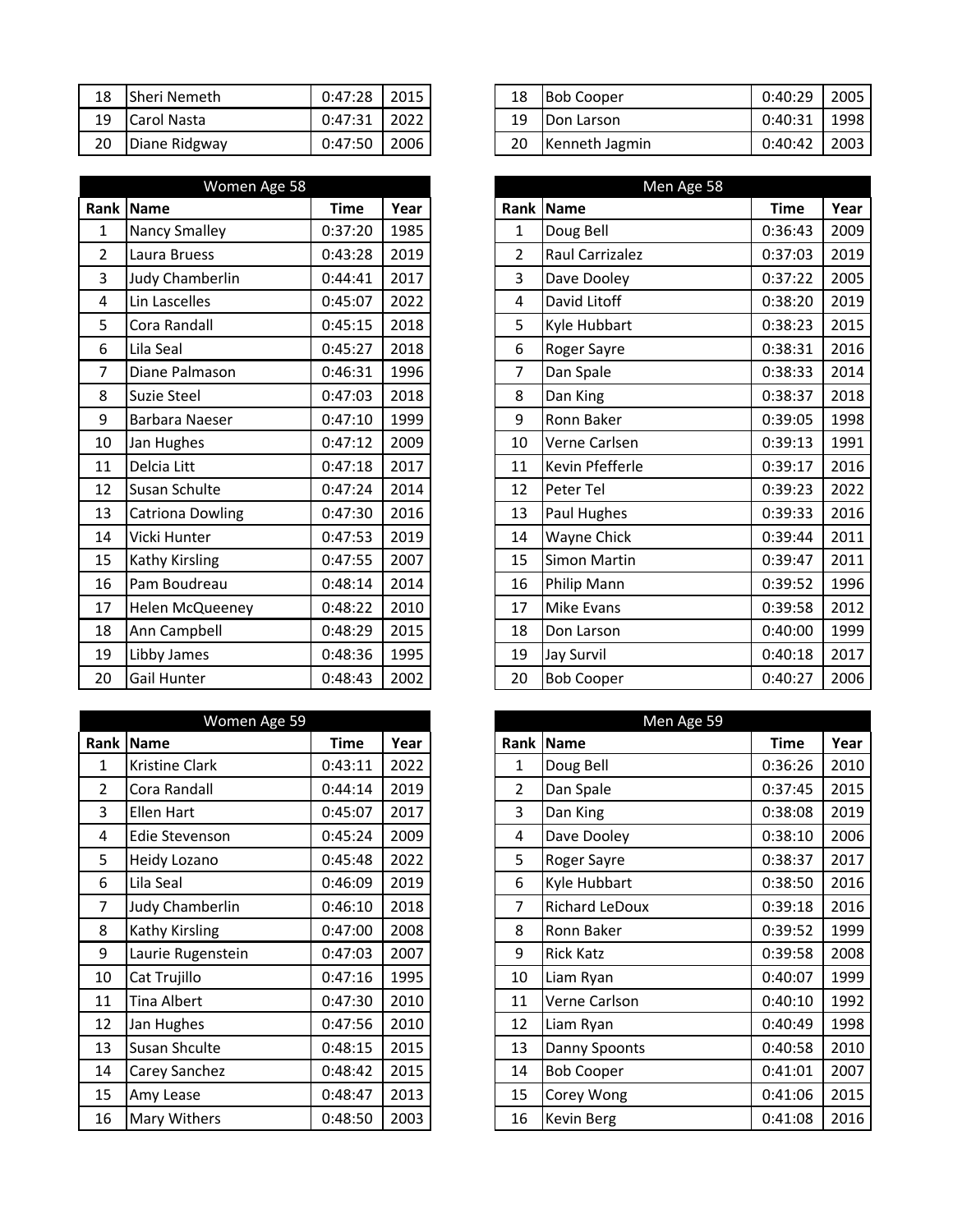|    | 18 Sheri Nemeth | $0:47:28$   2015 |  |
|----|-----------------|------------------|--|
|    | 19 Carol Nasta  | $0:47:31$   2022 |  |
| 20 | Diane Ridgway   | $0:47:50$   2006 |  |

|                | Women Age 58          |             | Men Age 58 |                |                   |
|----------------|-----------------------|-------------|------------|----------------|-------------------|
| Rank           | Name                  | <b>Time</b> | Year       |                | Rank   Name       |
| $\mathbf{1}$   | Nancy Smalley         | 0:37:20     | 1985       | $\mathbf{1}$   | Doug Bell         |
| $\overline{2}$ | Laura Bruess          | 0:43:28     | 2019       | $\overline{2}$ | Raul Carrizalez   |
| 3              | Judy Chamberlin       | 0:44:41     | 2017       | 3              | Dave Dooley       |
| 4              | Lin Lascelles         | 0:45:07     | 2022       | 4              | David Litoff      |
| 5              | Cora Randall          | 0:45:15     | 2018       | 5              | Kyle Hubbart      |
| 6              | Lila Seal             | 0:45:27     | 2018       | 6              | Roger Sayre       |
| 7              | Diane Palmason        | 0:46:31     | 1996       | 7              | Dan Spale         |
| 8              | Suzie Steel           | 0:47:03     | 2018       | 8              | Dan King          |
| 9              | <b>Barbara Naeser</b> | 0:47:10     | 1999       | 9              | Ronn Baker        |
| 10             | Jan Hughes            | 0:47:12     | 2009       | 10             | Verne Carlsen     |
| 11             | Delcia Litt           | 0:47:18     | 2017       | 11             | Kevin Pfefferle   |
| 12             | Susan Schulte         | 0:47:24     | 2014       | 12             | Peter Tel         |
| 13             | Catriona Dowling      | 0:47:30     | 2016       | 13             | Paul Hughes       |
| 14             | Vicki Hunter          | 0:47:53     | 2019       | 14             | Wayne Chick       |
| 15             | Kathy Kirsling        | 0:47:55     | 2007       | 15             | Simon Martin      |
| 16             | Pam Boudreau          | 0:48:14     | 2014       | 16             | Philip Mann       |
| 17             | Helen McQueeney       | 0:48:22     | 2010       | 17             | <b>Mike Evans</b> |
| 18             | Ann Campbell          | 0:48:29     | 2015       | 18             | Don Larson        |
| 19             | Libby James           | 0:48:36     | 1995       | 19             | Jay Survil        |
| 20             | Gail Hunter           | 0:48:43     | 2002       | 20             | <b>Bob Cooper</b> |

|                | Women Age 59          |             |      |                | Men Age 59            |
|----------------|-----------------------|-------------|------|----------------|-----------------------|
| Rank           | <b>Name</b>           | <b>Time</b> | Year |                | Rank Name             |
| 1              | <b>Kristine Clark</b> | 0:43:11     | 2022 | 1              | Doug Bell             |
| $\overline{2}$ | Cora Randall          | 0:44:14     | 2019 | $\overline{2}$ | Dan Spale             |
| 3              | <b>Ellen Hart</b>     | 0:45:07     | 2017 | 3              | Dan King              |
| 4              | <b>Edie Stevenson</b> | 0:45:24     | 2009 | 4              | Dave Dooley           |
| 5              | Heidy Lozano          | 0:45:48     | 2022 | 5              | Roger Sayre           |
| 6              | Lila Seal             | 0:46:09     | 2019 | 6              | Kyle Hubbart          |
| 7              | Judy Chamberlin       | 0:46:10     | 2018 | 7              | <b>Richard LeDoux</b> |
| 8              | Kathy Kirsling        | 0:47:00     | 2008 | 8              | Ronn Baker            |
| 9              | Laurie Rugenstein     | 0:47:03     | 2007 | 9              | <b>Rick Katz</b>      |
| 10             | Cat Trujillo          | 0:47:16     | 1995 | 10             | Liam Ryan             |
| 11             | <b>Tina Albert</b>    | 0:47:30     | 2010 | 11             | Verne Carlson         |
| 12             | Jan Hughes            | 0:47:56     | 2010 | 12             | Liam Ryan             |
| 13             | Susan Shculte         | 0:48:15     | 2015 | 13             | Danny Spoonts         |
| 14             | Carey Sanchez         | 0:48:42     | 2015 | 14             | <b>Bob Cooper</b>     |
| 15             | Amy Lease             | 0:48:47     | 2013 | 15             | Corey Wong            |
| 16             | Mary Withers          | 0:48:50     | 2003 | 16             | <b>Kevin Berg</b>     |

| 18 | Sheri Nemeth  | 0:47:28 | 2015 |  |    | 18<br><b>Bob Cooper</b> |         | 2005 |
|----|---------------|---------|------|--|----|-------------------------|---------|------|
| 19 | Carol Nasta   | 0:47:31 | 2022 |  | 19 | Don Larson              | 0:40:31 | 1998 |
| 20 | Diane Ridgway | 0:47:50 | 2006 |  | 20 | Kenneth Jagmin          | 0:40:42 | 2003 |

|                | Women Age 58            |             |      |                | Men Age 58         |             |      |
|----------------|-------------------------|-------------|------|----------------|--------------------|-------------|------|
|                | Rank Name               | <b>Time</b> | Year |                | Rank   Name        | <b>Time</b> | Year |
| 1              | <b>Nancy Smalley</b>    | 0:37:20     | 1985 | 1              | Doug Bell          | 0:36:43     | 2009 |
| $\overline{2}$ | Laura Bruess            | 0:43:28     | 2019 | $\overline{2}$ | Raul Carrizalez    | 0:37:03     | 2019 |
| $\overline{3}$ | Judy Chamberlin         | 0:44:41     | 2017 | 3              | Dave Dooley        | 0:37:22     | 2005 |
| $\overline{4}$ | Lin Lascelles           | 0:45:07     | 2022 | 4              | David Litoff       | 0:38:20     | 2019 |
| 5              | Cora Randall            | 0:45:15     | 2018 | 5              | Kyle Hubbart       | 0:38:23     | 2015 |
| 6              | Lila Seal               | 0:45:27     | 2018 | 6              | Roger Sayre        | 0:38:31     | 2016 |
| $\overline{7}$ | Diane Palmason          | 0:46:31     | 1996 | 7              | Dan Spale          | 0:38:33     | 2014 |
| 8              | <b>Suzie Steel</b>      | 0:47:03     | 2018 | 8              | Dan King           | 0:38:37     | 2018 |
| 9              | <b>Barbara Naeser</b>   | 0:47:10     | 1999 | 9              | Ronn Baker         | 0:39:05     | 1998 |
| 10             | Jan Hughes              | 0:47:12     | 2009 | 10             | Verne Carlsen      | 0:39:13     | 1991 |
| 11             | Delcia Litt             | 0:47:18     | 2017 | 11             | Kevin Pfefferle    | 0:39:17     | 2016 |
| 12             | Susan Schulte           | 0:47:24     | 2014 | 12             | Peter Tel          | 0:39:23     | 2022 |
| 13             | <b>Catriona Dowling</b> | 0:47:30     | 2016 | 13             | Paul Hughes        | 0:39:33     | 2016 |
| 14             | Vicki Hunter            | 0:47:53     | 2019 | 14             | <b>Wayne Chick</b> | 0:39:44     | 2011 |
| 15             | <b>Kathy Kirsling</b>   | 0:47:55     | 2007 | 15             | Simon Martin       | 0:39:47     | 2011 |
| 16             | Pam Boudreau            | 0:48:14     | 2014 | 16             | Philip Mann        | 0:39:52     | 1996 |
| 17             | Helen McQueeney         | 0:48:22     | 2010 | 17             | <b>Mike Evans</b>  | 0:39:58     | 2012 |
| 18             | Ann Campbell            | 0:48:29     | 2015 | 18             | Don Larson         | 0:40:00     | 1999 |
| 19             | Libby James             | 0:48:36     | 1995 | 19             | <b>Jay Survil</b>  | 0:40:18     | 2017 |
| 20             | <b>Gail Hunter</b>      | 0:48:43     | 2002 | 20             | <b>Bob Cooper</b>  | 0:40:27     | 2006 |

|      | Women Age 59          |             |      |    |                | Men Age 59            |             |
|------|-----------------------|-------------|------|----|----------------|-----------------------|-------------|
| Rank | Name                  | <b>Time</b> | Year |    |                | Rank Name             | <b>Time</b> |
|      | <b>Kristine Clark</b> | 0:43:11     | 2022 |    | 1              | Doug Bell             | 0:36:26     |
|      | Cora Randall          | 0:44:14     | 2019 |    | $\overline{2}$ | Dan Spale             | 0:37:45     |
|      | Ellen Hart            | 0:45:07     | 2017 | 3  |                | Dan King              | 0:38:08     |
|      | Edie Stevenson        | 0:45:24     | 2009 |    | 4              | Dave Dooley           | 0:38:10     |
|      | Heidy Lozano          | 0:45:48     | 2022 |    | 5              | <b>Roger Sayre</b>    | 0:38:37     |
|      | Lila Seal             | 0:46:09     | 2019 | 6  |                | Kyle Hubbart          | 0:38:50     |
|      | Judy Chamberlin       | 0:46:10     | 2018 | 7  |                | <b>Richard LeDoux</b> | 0:39:18     |
|      | <b>Kathy Kirsling</b> | 0:47:00     | 2008 |    | 8              | Ronn Baker            | 0:39:52     |
|      | Laurie Rugenstein     | 0:47:03     | 2007 | 9  |                | <b>Rick Katz</b>      | 0:39:58     |
|      | Cat Trujillo          | 0:47:16     | 1995 | 10 |                | Liam Ryan             | 0:40:07     |
|      | Tina Albert           | 0:47:30     | 2010 |    | 11             | Verne Carlson         | 0:40:10     |
| 12   | Jan Hughes            | 0:47:56     | 2010 | 12 |                | Liam Ryan             | 0:40:49     |
| 13   | <b>Susan Shculte</b>  | 0:48:15     | 2015 | 13 |                | Danny Spoonts         | 0:40:58     |
| 14   | Carey Sanchez         | 0:48:42     | 2015 | 14 |                | <b>Bob Cooper</b>     | 0:41:01     |
| 15   | Amy Lease             | 0:48:47     | 2013 | 15 |                | Corey Wong            | 0:41:06     |
| 16   | <b>Mary Withers</b>   | 0:48:50     | 2003 | 16 |                | <b>Kevin Berg</b>     | 0:41:08     |